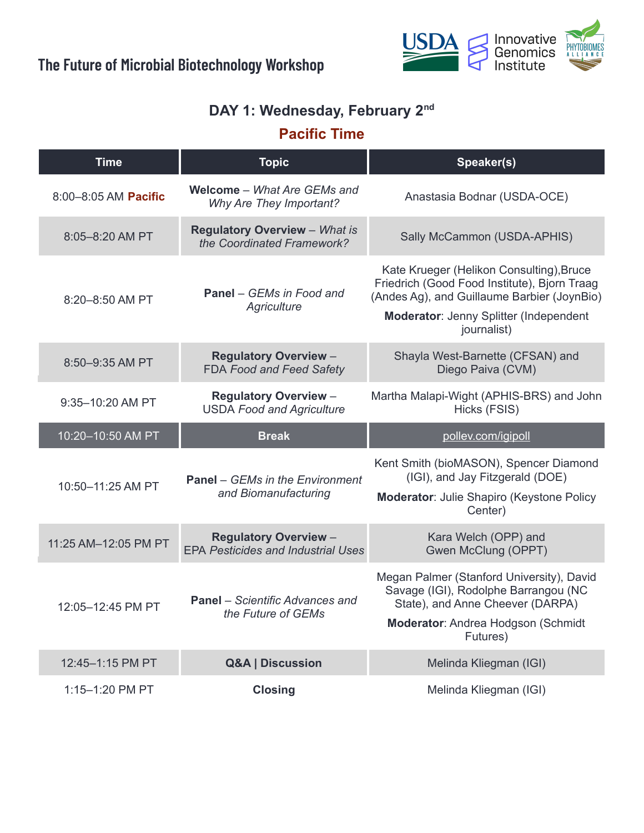

#### **DAY 1: Wednesday, February 2 nd**

# **Pacific Time**

| <b>Time</b>          | <b>Topic</b>                                                              | Speaker(s)                                                                                                                                                                                              |
|----------------------|---------------------------------------------------------------------------|---------------------------------------------------------------------------------------------------------------------------------------------------------------------------------------------------------|
| 8:00-8:05 AM Pacific | <b>Welcome</b> – <i>What Are GEMs and</i><br>Why Are They Important?      | Anastasia Bodnar (USDA-OCE)                                                                                                                                                                             |
| 8:05-8:20 AM PT      | <b>Regulatory Overview - What is</b><br>the Coordinated Framework?        | Sally McCammon (USDA-APHIS)                                                                                                                                                                             |
| 8:20-8:50 AM PT      | <b>Panel</b> – GEMs in Food and<br>Agriculture                            | Kate Krueger (Helikon Consulting), Bruce<br>Friedrich (Good Food Institute), Bjorn Traag<br>(Andes Ag), and Guillaume Barbier (JoynBio)<br><b>Moderator: Jenny Splitter (Independent</b><br>journalist) |
| 8:50-9:35 AM PT      | <b>Regulatory Overview -</b><br><b>FDA Food and Feed Safety</b>           | Shayla West-Barnette (CFSAN) and<br>Diego Paiva (CVM)                                                                                                                                                   |
| 9:35-10:20 AM PT     | <b>Regulatory Overview -</b><br><b>USDA Food and Agriculture</b>          | Martha Malapi-Wight (APHIS-BRS) and John<br>Hicks (FSIS)                                                                                                                                                |
|                      |                                                                           |                                                                                                                                                                                                         |
| 10:20-10:50 AM PT    | <b>Break</b>                                                              | pollev.com/igipoll                                                                                                                                                                                      |
| 10:50-11:25 AM PT    | <b>Panel</b> – GEMs in the Environment<br>and Biomanufacturing            | Kent Smith (bioMASON), Spencer Diamond<br>(IGI), and Jay Fitzgerald (DOE)<br><b>Moderator: Julie Shapiro (Keystone Policy</b><br>Center)                                                                |
| 11:25 AM-12:05 PM PT | <b>Regulatory Overview -</b><br><b>EPA Pesticides and Industrial Uses</b> | Kara Welch (OPP) and<br>Gwen McClung (OPPT)                                                                                                                                                             |
| 12:05-12:45 PM PT    | <b>Panel</b> – Scientific Advances and<br>the Future of GEMs              | Megan Palmer (Stanford University), David<br>Savage (IGI), Rodolphe Barrangou (NC<br>State), and Anne Cheever (DARPA)<br>Moderator: Andrea Hodgson (Schmidt<br>Futures)                                 |
| 12:45-1:15 PM PT     | <b>Q&amp;A   Discussion</b>                                               | Melinda Kliegman (IGI)                                                                                                                                                                                  |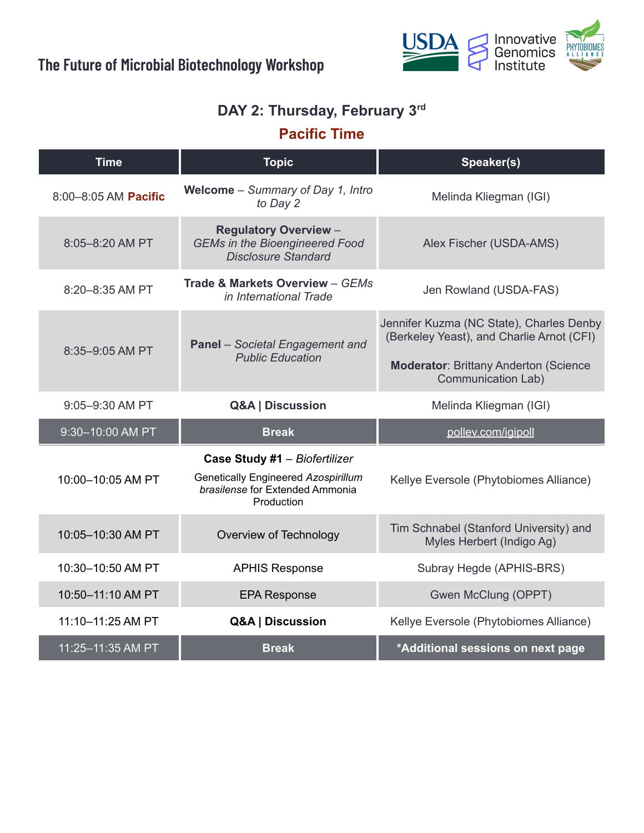

#### **DAY 2: Thursday, February 3 rd**

## **Pacific Time**

| <b>Time</b>          | <b>Topic</b>                                                                                                          | Speaker(s)                                                                            |
|----------------------|-----------------------------------------------------------------------------------------------------------------------|---------------------------------------------------------------------------------------|
| 8:00-8:05 AM Pacific | Welcome - Summary of Day 1, Intro<br>to Day 2                                                                         | Melinda Kliegman (IGI)                                                                |
| 8:05-8:20 AM PT      | <b>Regulatory Overview -</b><br><b>GEMs in the Bioengineered Food</b><br><b>Disclosure Standard</b>                   | Alex Fischer (USDA-AMS)                                                               |
| 8:20-8:35 AM PT      | Trade & Markets Overview - GEMs<br>in International Trade                                                             | Jen Rowland (USDA-FAS)                                                                |
| 8:35-9:05 AM PT      | <b>Panel</b> - Societal Engagement and<br><b>Public Education</b>                                                     | Jennifer Kuzma (NC State), Charles Denby<br>(Berkeley Yeast), and Charlie Arnot (CFI) |
|                      |                                                                                                                       | <b>Moderator: Brittany Anderton (Science)</b><br><b>Communication Lab)</b>            |
| 9:05-9:30 AM PT      | Q&A   Discussion                                                                                                      | Melinda Kliegman (IGI)                                                                |
| 9:30-10:00 AM PT     | <b>Break</b>                                                                                                          | pollev.com/igipoll                                                                    |
| 10:00-10:05 AM PT    | Case Study #1 - Biofertilizer<br>Genetically Engineered Azospirillum<br>brasilense for Extended Ammonia<br>Production | Kellye Eversole (Phytobiomes Alliance)                                                |
| 10:05-10:30 AM PT    | Overview of Technology                                                                                                | Tim Schnabel (Stanford University) and<br>Myles Herbert (Indigo Ag)                   |
| 10:30-10:50 AM PT    | <b>APHIS Response</b>                                                                                                 | Subray Hegde (APHIS-BRS)                                                              |
| 10:50-11:10 AM PT    | <b>EPA Response</b>                                                                                                   | Gwen McClung (OPPT)                                                                   |
| 11:10-11:25 AM PT    | Q&A   Discussion                                                                                                      | Kellye Eversole (Phytobiomes Alliance)                                                |
| 11:25-11:35 AM PT    | <b>Break</b>                                                                                                          | *Additional sessions on next page                                                     |